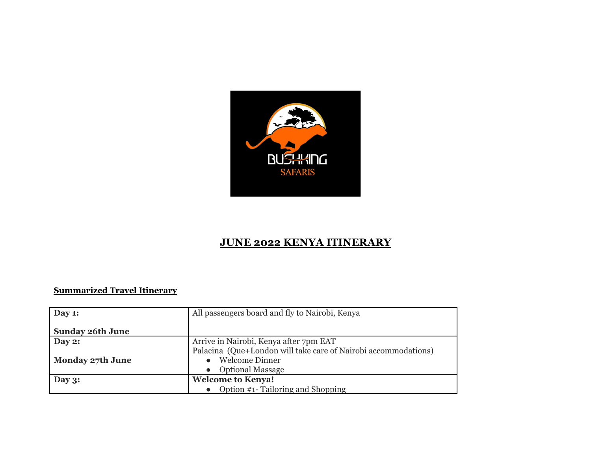

## **JUNE 2022 KENYA ITINERARY**

## **Summarized Travel Itinerary**

| Day $1:$                | All passengers board and fly to Nairobi, Kenya                 |  |
|-------------------------|----------------------------------------------------------------|--|
|                         |                                                                |  |
| <b>Sunday 26th June</b> |                                                                |  |
| Day $2:$                | Arrive in Nairobi, Kenya after 7pm EAT                         |  |
|                         | Palacina (Que+London will take care of Nairobi accommodations) |  |
| <b>Monday 27th June</b> | <b>Welcome Dinner</b>                                          |  |
|                         | <b>Optional Massage</b>                                        |  |
| Day $3:$                | <b>Welcome to Kenya!</b>                                       |  |
|                         | • Option #1- Tailoring and Shopping                            |  |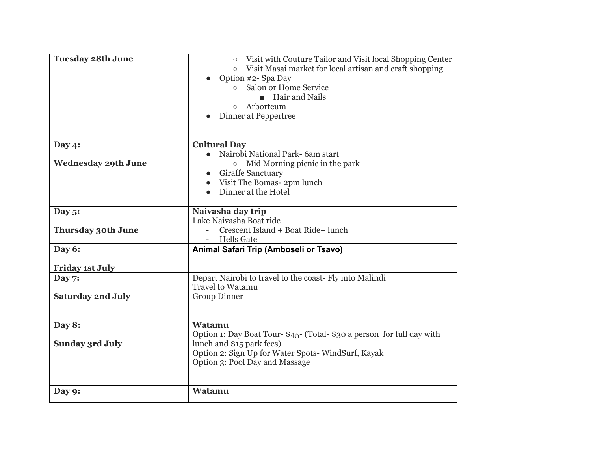| <b>Tuesday 28th June</b>   | Visit with Couture Tailor and Visit local Shopping Center<br>$\circ$<br>Visit Masai market for local artisan and craft shopping<br>$\circ$<br>Option #2- Spa Day<br>Salon or Home Service<br>$\circ$<br><b>Hair and Nails</b><br>Arborteum<br>$\circ$<br>Dinner at Peppertree |
|----------------------------|-------------------------------------------------------------------------------------------------------------------------------------------------------------------------------------------------------------------------------------------------------------------------------|
| Day $4$ :                  | <b>Cultural Day</b>                                                                                                                                                                                                                                                           |
| <b>Wednesday 29th June</b> | Nairobi National Park- 6am start<br>$\bullet$<br>$\circ$ Mid Morning picnic in the park<br><b>Giraffe Sanctuary</b><br>Visit The Bomas- 2pm lunch<br>$\bullet$<br>Dinner at the Hotel<br>$\bullet$                                                                            |
| Day $5$ :                  | Naivasha day trip                                                                                                                                                                                                                                                             |
| <b>Thursday 30th June</b>  | Lake Naivasha Boat ride<br>Crescent Island + Boat Ride+ lunch<br><b>Hells Gate</b>                                                                                                                                                                                            |
| Day 6:                     | Animal Safari Trip (Amboseli or Tsavo)                                                                                                                                                                                                                                        |
| <b>Friday 1st July</b>     |                                                                                                                                                                                                                                                                               |
| Day 7:                     | Depart Nairobi to travel to the coast- Fly into Malindi<br><b>Travel to Watamu</b>                                                                                                                                                                                            |
| <b>Saturday 2nd July</b>   | <b>Group Dinner</b>                                                                                                                                                                                                                                                           |
| Day 8:                     | Watamu                                                                                                                                                                                                                                                                        |
| <b>Sunday 3rd July</b>     | Option 1: Day Boat Tour- \$45- (Total- \$30 a person for full day with<br>lunch and \$15 park fees)<br>Option 2: Sign Up for Water Spots-WindSurf, Kayak<br>Option 3: Pool Day and Massage                                                                                    |
| Day 9:                     | Watamu                                                                                                                                                                                                                                                                        |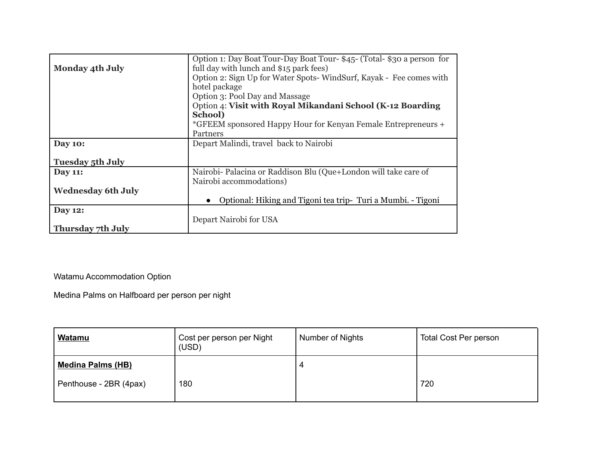| <b>Monday 4th July</b>    | Option 1: Day Boat Tour-Day Boat Tour-\$45- (Total-\$30 a person for<br>full day with lunch and \$15 park fees) |
|---------------------------|-----------------------------------------------------------------------------------------------------------------|
|                           | Option 2: Sign Up for Water Spots-WindSurf, Kayak - Fee comes with                                              |
|                           | hotel package                                                                                                   |
|                           | Option 3: Pool Day and Massage                                                                                  |
|                           | Option 4: Visit with Royal Mikandani School (K-12 Boarding                                                      |
|                           | School)                                                                                                         |
|                           | *GFEEM sponsored Happy Hour for Kenyan Female Entrepreneurs +                                                   |
|                           | Partners                                                                                                        |
| <b>Day 10:</b>            | Depart Malindi, travel back to Nairobi                                                                          |
|                           |                                                                                                                 |
| <b>Tuesday 5th July</b>   |                                                                                                                 |
| <b>Day 11:</b>            | Nairobi- Palacina or Raddison Blu (Que+London will take care of                                                 |
|                           | Nairobi accommodations)                                                                                         |
| <b>Wednesday 6th July</b> |                                                                                                                 |
|                           | Optional: Hiking and Tigoni tea trip- Turi a Mumbi. - Tigoni                                                    |
| <b>Day 12:</b>            |                                                                                                                 |
|                           | Depart Nairobi for USA                                                                                          |
| Thursday 7th July         |                                                                                                                 |

Watamu Accommodation Option

Medina Palms on Halfboard per person per night

| Watamu                   | Cost per person per Night<br>(USD) | Number of Nights | Total Cost Per person |
|--------------------------|------------------------------------|------------------|-----------------------|
| <b>Medina Palms (HB)</b> |                                    | 4                |                       |
| Penthouse - 2BR (4pax)   | 180                                |                  | 720                   |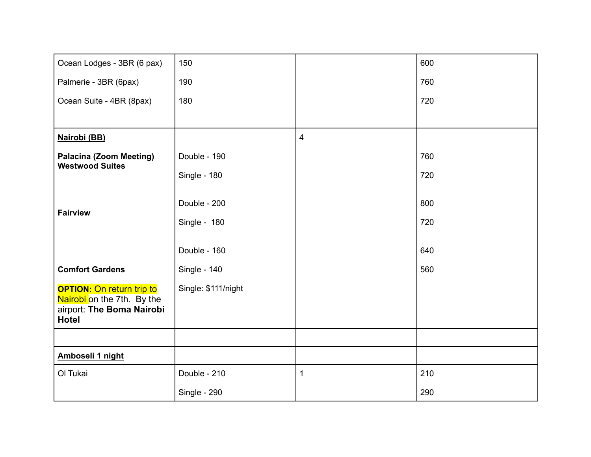| Ocean Lodges - 3BR (6 pax)                               | 150                 |   | 600 |
|----------------------------------------------------------|---------------------|---|-----|
| Palmerie - 3BR (6pax)                                    | 190                 |   | 760 |
| Ocean Suite - 4BR (8pax)                                 | 180                 |   | 720 |
|                                                          |                     |   |     |
| Nairobi (BB)                                             |                     | 4 |     |
| <b>Palacina (Zoom Meeting)</b><br><b>Westwood Suites</b> | Double - 190        |   | 760 |
|                                                          | Single - 180        |   | 720 |
|                                                          |                     |   |     |
| <b>Fairview</b>                                          | Double - 200        |   | 800 |
|                                                          | Single - 180        |   | 720 |
|                                                          | Double - 160        |   | 640 |
| <b>Comfort Gardens</b>                                   | Single - 140        |   | 560 |
| <b>OPTION:</b> On return trip to                         | Single: \$111/night |   |     |
| Nairobi on the 7th. By the<br>airport: The Boma Nairobi  |                     |   |     |
| <b>Hotel</b>                                             |                     |   |     |
|                                                          |                     |   |     |
| Amboseli 1 night                                         |                     |   |     |
| Ol Tukai                                                 | Double - 210        | 1 | 210 |
|                                                          | Single - 290        |   | 290 |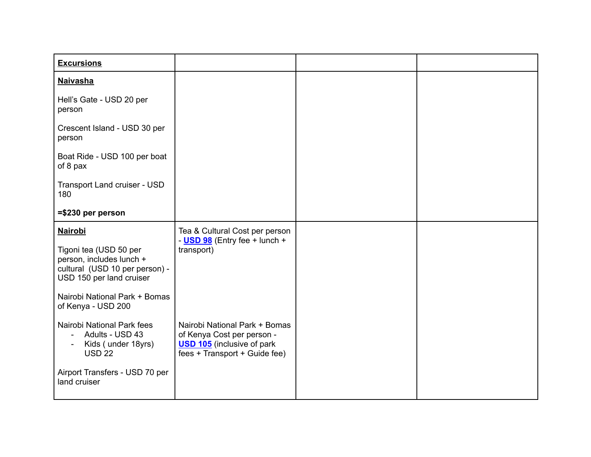| <b>Excursions</b>                                                                                                                                                   |                                                                                                                                   |  |
|---------------------------------------------------------------------------------------------------------------------------------------------------------------------|-----------------------------------------------------------------------------------------------------------------------------------|--|
| <b>Naivasha</b>                                                                                                                                                     |                                                                                                                                   |  |
| Hell's Gate - USD 20 per<br>person                                                                                                                                  |                                                                                                                                   |  |
| Crescent Island - USD 30 per<br>person                                                                                                                              |                                                                                                                                   |  |
| Boat Ride - USD 100 per boat<br>of 8 pax                                                                                                                            |                                                                                                                                   |  |
| Transport Land cruiser - USD<br>180                                                                                                                                 |                                                                                                                                   |  |
| $= $230$ per person                                                                                                                                                 |                                                                                                                                   |  |
| <b>Nairobi</b><br>Tigoni tea (USD 50 per<br>person, includes lunch +<br>cultural (USD 10 per person) -<br>USD 150 per land cruiser<br>Nairobi National Park + Bomas | Tea & Cultural Cost per person<br>- <b>USD 98</b> (Entry fee + lunch +<br>transport)                                              |  |
| of Kenya - USD 200<br>Nairobi National Park fees<br>Adults - USD 43<br>Kids (under 18yrs)<br><b>USD 22</b><br>Airport Transfers - USD 70 per<br>land cruiser        | Nairobi National Park + Bomas<br>of Kenya Cost per person -<br><b>USD 105</b> (inclusive of park<br>fees + Transport + Guide fee) |  |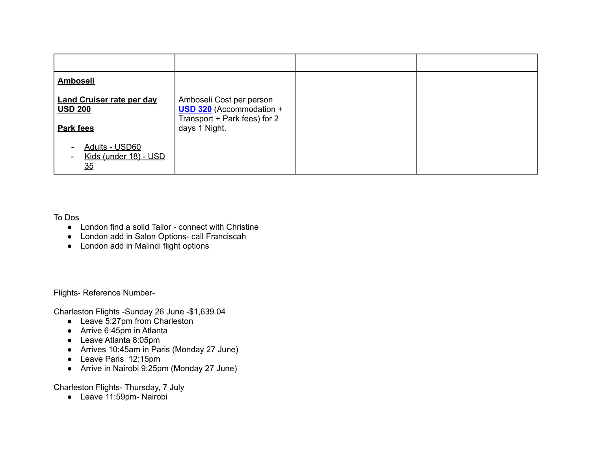| Amboseli                                           |                                                                                             |  |
|----------------------------------------------------|---------------------------------------------------------------------------------------------|--|
| <b>Land Cruiser rate per day</b><br><b>USD 200</b> | Amboseli Cost per person<br><b>USD 320</b> (Accommodation +<br>Transport + Park fees) for 2 |  |
| Park fees                                          | days 1 Night.                                                                               |  |
| Adults - USD60<br>Kids (under 18) - USD<br>35      |                                                                                             |  |

To Dos

- London find a solid Tailor connect with Christine
- London add in Salon Options- call Franciscah
- London add in Malindi flight options

Flights- Reference Number-

Charleston Flights -Sunday 26 June -\$1,639.04

- Leave 5:27pm from Charleston
- Arrive 6:45pm in Atlanta
- Leave Atlanta 8:05pm
- Arrives 10:45am in Paris (Monday 27 June)
- Leave Paris 12:15pm
- Arrive in Nairobi 9:25pm (Monday 27 June)

Charleston Flights- Thursday, 7 July

● Leave 11:59pm- Nairobi